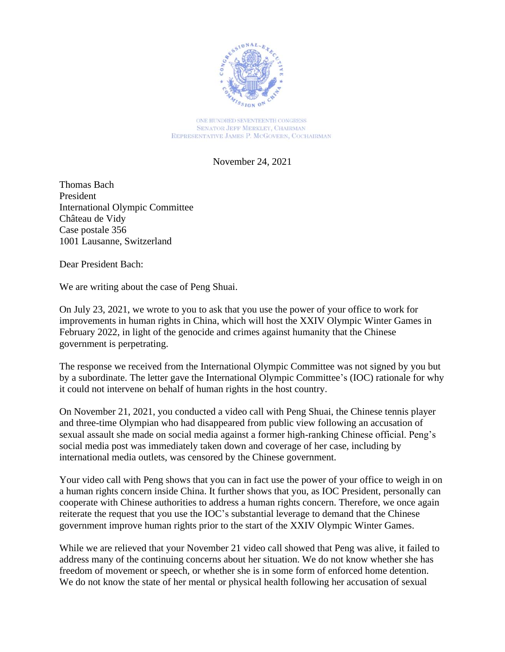

ONE HUNDRED SEVENTEENTH CONGRESS **SENATOR JEFF MERKLEY, CHAIRMAN** REPRESENTATIVE JAMES P. MCGOVERN, COCHAIRMAN

November 24, 2021

Thomas Bach President International Olympic Committee Château de Vidy Case postale 356 1001 Lausanne, Switzerland

Dear President Bach:

We are writing about the case of Peng Shuai.

On July 23, 2021, we wrote to you to ask that you use the power of your office to work for improvements in human rights in China, which will host the XXIV Olympic Winter Games in February 2022, in light of the genocide and crimes against humanity that the Chinese government is perpetrating.

The response we received from the International Olympic Committee was not signed by you but by a subordinate. The letter gave the International Olympic Committee's (IOC) rationale for why it could not intervene on behalf of human rights in the host country.

On November 21, 2021, you conducted a video call with Peng Shuai, the Chinese tennis player and three-time Olympian who had disappeared from public view following an accusation of sexual assault she made on social media against a former high-ranking Chinese official. Peng's social media post was immediately taken down and coverage of her case, including by international media outlets, was censored by the Chinese government.

Your video call with Peng shows that you can in fact use the power of your office to weigh in on a human rights concern inside China. It further shows that you, as IOC President, personally can cooperate with Chinese authorities to address a human rights concern. Therefore, we once again reiterate the request that you use the IOC's substantial leverage to demand that the Chinese government improve human rights prior to the start of the XXIV Olympic Winter Games.

While we are relieved that your November 21 video call showed that Peng was alive, it failed to address many of the continuing concerns about her situation. We do not know whether she has freedom of movement or speech, or whether she is in some form of enforced home detention. We do not know the state of her mental or physical health following her accusation of sexual